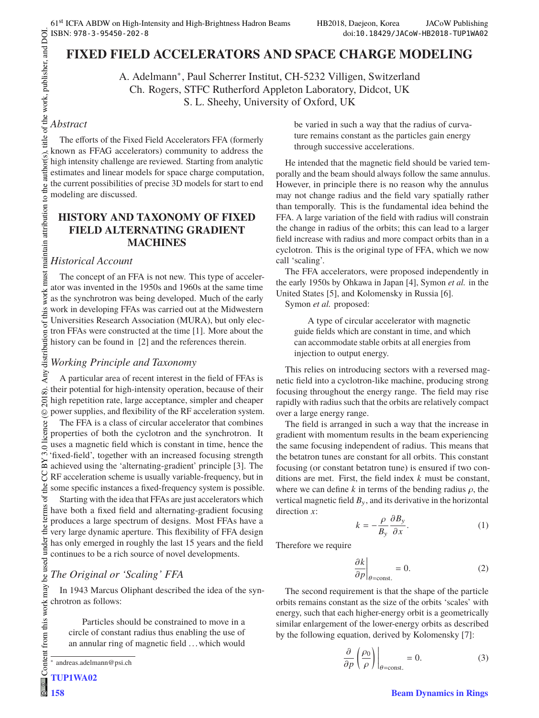# **FIXED FIELD ACCELERATORS AND SPACE CHARGE MODELING**

A. Adelmann∗, Paul Scherrer Institut, CH-5232 Villigen, Switzerland Ch. Rogers, STFC Rutherford Appleton Laboratory, Didcot, UK S. L. Sheehy, University of Oxford, UK

# *Abstract*

maintain attribution to the author(s).

title of the work, publisher, and DOI. The efforts of the Fixed Field Accelerators FFA (formerly known as FFAG accelerators) community to address the high intensity challenge are reviewed. Starting from analytic estimates and linear models for space charge computation, the current possibilities of precise 3D models for start to end modeling are discussed.

# **HISTORY AND TAXONOMY OF FIXED FIELD ALTERNATING GRADIENT MACHINES**

# *Historical Account*

 $\frac{2018}{12}$ . Any distribution of this work must maintain attribution to the author(s), title of the work, publisher, and DOI. work must The concept of an FFA is not new. This type of accelerator was invented in the 1950s and 1960s at the same time as the synchrotron was being developed. Much of the early Any distribution of this work in developing FFAs was carried out at the Midwestern Universities Research Association (MURA), but only electron FFAs were constructed at the time [1]. More about the history can be found in [2] and the references therein.

# *Working Principle and Taxonomy*

A particular area of recent interest in the field of FFAs is 2018). their potential for high-intensity operation, because of their high repetition rate, large acceptance, simpler and cheaper power supplies, and flexibility of the RF acceleration system.

licence (© Content from this work may be used under the terms of the CC BY 3.0 licence ( $@$ The FFA is a class of circular accelerator that combines properties of both the cyclotron and the synchrotron. It uses a magnetic field which is constant in time, hence the BY 3.01 'fixed-field', together with an increased focusing strength achieved using the 'alternating-gradient' principle [3]. The g RF acceleration scheme is usually variable-frequency, but in the some specific instances a fixed-frequency system is possible.

be used under the terms of Starting with the idea that FFAs are just accelerators which have both a fixed field and alternating-gradient focusing produces a large spectrum of designs. Most FFAs have a very large dynamic aperture. This flexibility of FFA design has only emerged in roughly the last 15 years and the field continues to be a rich source of novel developments.

# *The Original or 'Scaling' FFA*

In 1943 Marcus Oliphant described the idea of the synchrotron as follows:

Particles should be constrained to move in a circle of constant radius thus enabling the use of an annular ring of magnetic field . . . which would be varied in such a way that the radius of curvature remains constant as the particles gain energy through successive accelerations.

He intended that the magnetic field should be varied temporally and the beam should always follow the same annulus. However, in principle there is no reason why the annulus may not change radius and the field vary spatially rather than temporally. This is the fundamental idea behind the FFA. A large variation of the field with radius will constrain the change in radius of the orbits; this can lead to a larger field increase with radius and more compact orbits than in a cyclotron. This is the original type of FFA, which we now call 'scaling'.

The FFA accelerators, were proposed independently in the early 1950s by Ohkawa in Japan [4], Symon *et al.* in the United States [5], and Kolomensky in Russia [6].

Symon *et al.* proposed:

A type of circular accelerator with magnetic guide fields which are constant in time, and which can accommodate stable orbits at all energies from injection to output energy.

This relies on introducing sectors with a reversed magnetic field into a cyclotron-like machine, producing strong focusing throughout the energy range. The field may rise rapidly with radius such that the orbits are relatively compact over a large energy range.

The field is arranged in such a way that the increase in gradient with momentum results in the beam experiencing the same focusing independent of radius. This means that the betatron tunes are constant for all orbits. This constant focusing (or constant betatron tune) is ensured if two conditions are met. First, the field index *k* must be constant, where we can define  $k$  in terms of the bending radius  $\rho$ , the vertical magnetic field  $B<sub>v</sub>$ , and its derivative in the horizontal direction *x*:

$$
k = -\frac{\rho}{B_y} \frac{\partial B_y}{\partial x}.
$$
 (1)

Therefore we require

$$
\left. \frac{\partial k}{\partial p} \right|_{\theta = \text{const.}} = 0. \tag{2}
$$

The second requirement is that the shape of the particle orbits remains constant as the size of the orbits 'scales' with energy, such that each higher-energy orbit is a geometrically similar enlargement of the lower-energy orbits as described by the following equation, derived by Kolomensky [7]:

$$
\frac{\partial}{\partial p} \left( \frac{\rho_0}{\rho} \right) \Big|_{\theta = \text{const.}} = 0. \tag{3}
$$

<sup>∗</sup> andreas.adelmann@psi.ch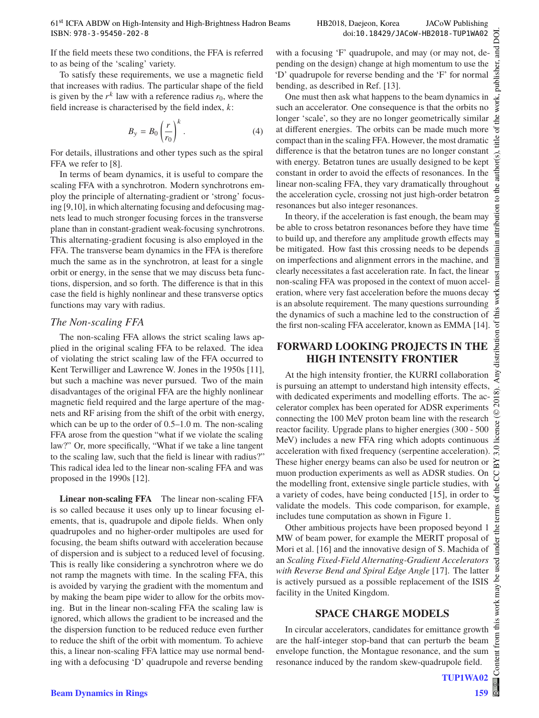If the field meets these two conditions, the FFA is referred to as being of the 'scaling' variety.

To satisfy these requirements, we use a magnetic field that increases with radius. The particular shape of the field is given by the  $r^k$  law with a reference radius  $r_0$ , where the field increase is characterised by the field index, *k*:

$$
B_{y} = B_0 \left(\frac{r}{r_0}\right)^k.
$$
 (4)

For details, illustrations and other types such as the spiral FFA we refer to [8].

In terms of beam dynamics, it is useful to compare the scaling FFA with a synchrotron. Modern synchrotrons employ the principle of alternating-gradient or 'strong' focusing [9,10], in which alternating focusing and defocusing magnets lead to much stronger focusing forces in the transverse plane than in constant-gradient weak-focusing synchrotrons. This alternating-gradient focusing is also employed in the FFA. The transverse beam dynamics in the FFA is therefore much the same as in the synchrotron, at least for a single orbit or energy, in the sense that we may discuss beta functions, dispersion, and so forth. The difference is that in this case the field is highly nonlinear and these transverse optics functions may vary with radius.

### *The Non-scaling FFA*

The non-scaling FFA allows the strict scaling laws applied in the original scaling FFA to be relaxed. The idea of violating the strict scaling law of the FFA occurred to Kent Terwilliger and Lawrence W. Jones in the 1950s [11], but such a machine was never pursued. Two of the main disadvantages of the original FFA are the highly nonlinear magnetic field required and the large aperture of the magnets and RF arising from the shift of the orbit with energy, which can be up to the order of 0.5–1.0 m. The non-scaling FFA arose from the question "what if we violate the scaling law?" Or, more specifically, "What if we take a line tangent to the scaling law, such that the field is linear with radius?" This radical idea led to the linear non-scaling FFA and was proposed in the 1990s [12].

**Linear non-scaling FFA** The linear non-scaling FFA is so called because it uses only up to linear focusing elements, that is, quadrupole and dipole fields. When only quadrupoles and no higher-order multipoles are used for focusing, the beam shifts outward with acceleration because of dispersion and is subject to a reduced level of focusing. This is really like considering a synchrotron where we do not ramp the magnets with time. In the scaling FFA, this is avoided by varying the gradient with the momentum and by making the beam pipe wider to allow for the orbits moving. But in the linear non-scaling FFA the scaling law is ignored, which allows the gradient to be increased and the the dispersion function to be reduced reduce even further to reduce the shift of the orbit with momentum. To achieve this, a linear non-scaling FFA lattice may use normal bending with a defocusing 'D' quadrupole and reverse bending

with a focusing 'F' quadrupole, and may (or may not, depublisher, pending on the design) change at high momentum to use the 'D' quadrupole for reverse bending and the 'F' for normal bending, as described in Ref. [13].

One must then ask what happens to the beam dynamics in such an accelerator. One consequence is that the orbits no longer 'scale', so they are no longer geometrically similar at different energies. The orbits can be made much more compact than in the scaling FFA. However, the most dramatic difference is that the betatron tunes are no longer constant with energy. Betatron tunes are usually designed to be kept constant in order to avoid the effects of resonances. In the linear non-scaling FFA, they vary dramatically throughout the acceleration cycle, crossing not just high-order betatron resonances but also integer resonances.

In theory, if the acceleration is fast enough, the beam may be able to cross betatron resonances before they have time to build up, and therefore any amplitude growth effects may be mitigated. How fast this crossing needs to be depends on imperfections and alignment errors in the machine, and clearly necessitates a fast acceleration rate. In fact, the linear non-scaling FFA was proposed in the context of muon acceleration, where very fast acceleration before the muons decay is an absolute requirement. The many questions surrounding the dynamics of such a machine led to the construction of the first non-scaling FFA accelerator, known as EMMA [14].

# **FORWARD LOOKING PROJECTS IN THE**

At the high intensity frontier, the KURRI collaboration is pursuing an attempt to understand high intensity effects, with dedicated experiments and modelling efforts. The accelerator complex has been operated for ADSR experiments connecting the 100 MeV proton beam line with the research reactor facility. Upgrade plans to higher energies (300 - 500 MeV) includes a new FFA ring which adopts continuous  $\overline{3.0}$ acceleration with fixed frequency (serpentine acceleration). These higher energy beams can also be used for neutron or muon production experiments as well as ADSR studies. On the modelling front, extensive single particle studies, with a variety of codes, have being conducted [15], in order to validate the models. This code comparison, for example, includes tune computation as shown in Figure 1.

Other ambitious projects have been proposed beyond 1 MW of beam power, for example the MERIT proposal of Mori et al. [16] and the innovative design of S. Machida of an *Scaling Fixed-Field Alternating-Gradient Accelerators with Reverse Bend and Spiral Edge Angle* [17]. The latter is actively pursued as a possible replacement of the ISIS facility in the United Kingdom.

In circular accelerators, candidates for emittance growth are the half-integer stop-band that can perturb the beam envelope function, the Montague resonance, and the sum resonance induced by the random skew-quadrupole field.

Content from this work may be used under the terms of the CC BY 3.0 licence ( $@$ 

 $used$ 

work may be

this  $\overline{ }$ from lent  $\overline{\text{Cont}}$ 

Ê

terms of

.<br>ط mder

©

2018). Any distribution of this work must maintain attribution to the author(s), title of the work, publisher, and DOI.

attribution

ia<br>B must<sub>1</sub>

work this ion of Jut distri Àщ  $\frac{8}{2}$ . Ξ

ğ Бug

work,

J itle

the author(s).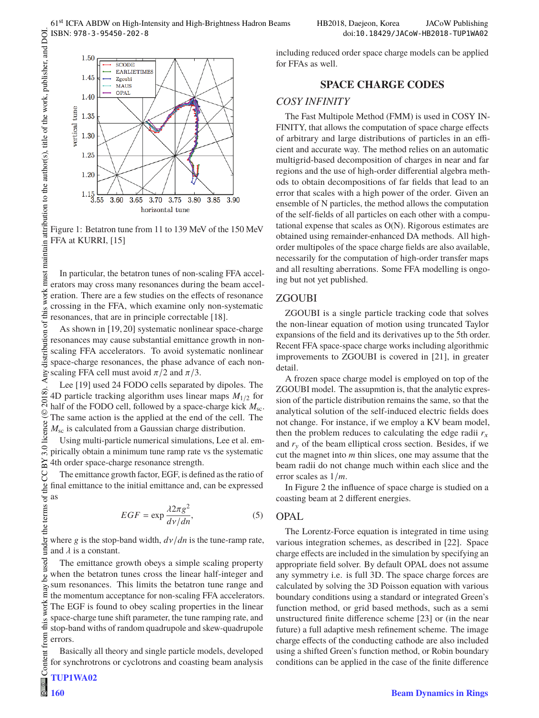

Figure 1: Betatron tune from 11 to 139 MeV of the 150 MeV FFA at KURRI, [15]

must maintain attribution to the author(s), title of the work, publisher, and DOI In particular, the betatron tunes of non-scaling FFA accelerators may cross many resonances during the beam acceleration. There are a few studies on the effects of resonance crossing in the FFA, which examine only non-systematic resonances, that are in principle correctable [18].

© 2018). Any distribution of this work must maintain attribution to the author(s), title of the work, publisher, and DOI.  $\Box$ Any distribution of this work As shown in [19, 20] systematic nonlinear space-charge resonances may cause substantial emittance growth in nonscaling FFA accelerators. To avoid systematic nonlinear space-charge resonances, the phase advance of each nonscaling FFA cell must avoid  $\pi/2$  and  $\pi/3$ .

Lee [19] used 24 FODO cells separated by dipoles. The 4D particle tracking algorithm uses linear maps  $M_{1/2}$  for half of the FODO cell, followed by a space-charge kick  $M_{\rm sc}$ . The same action is the applied at the end of the cell. The *M*sc is calculated from a Gaussian charge distribution. licence  $(\circledcirc 2018)$ 

Using multi-particle numerical simulations, Lee et al. em- $3.0$ pirically obtain a minimum tune ramp rate vs the systematic ΒY 4th order space-charge resonance strength.

g The emittance growth factor, EGF, is defined as the ratio of final emittance to the initial emittance and, can be expressed as

$$
EGF = \exp \frac{\lambda 2\pi g^2}{d\nu/dn},\tag{5}
$$

where g is the stop-band width, *<sup>d</sup>*ν/*dn* is the tune-ramp rate, and  $\lambda$  is a constant.

Content from this work may be used under the terms of the CC BY 3.0 licence ( $@$ used The emittance growth obeys a simple scaling property when the betatron tunes cross the linear half-integer and je sum resonances. This limits the betatron tune range and  $max$ the momentum acceptance for non-scaling FFA accelerators. work The EGF is found to obey scaling properties in the linear space-charge tune shift parameter, the tune ramping rate, and stop-band withs of random quadrupole and skew-quadrupole errors.

Basically all theory and single particle models, developed for synchrotrons or cyclotrons and coasting beam analysis including reduced order space charge models can be applied for FFAs as well.

### **SPACE CHARGE CODES SPACE CHARGE CODES**

### *COSY INFINITY*

The Fast Multipole Method (FMM) is used in COSY IN-FINITY, that allows the computation of space charge effects of arbitrary and large distributions of particles in an efficient and accurate way. The method relies on an automatic multigrid-based decomposition of charges in near and far regions and the use of high-order differential algebra methods to obtain decompositions of far fields that lead to an error that scales with a high power of the order. Given an ensemble of N particles, the method allows the computation of the self-fields of all particles on each other with a computational expense that scales as O(N). Rigorous estimates are obtained using remainder-enhanced DA methods. All highorder multipoles of the space charge fields are also available, necessarily for the computation of high-order transfer maps and all resulting aberrations. Some FFA modelling is ongoing but not yet published.

# ZGOUBI

ZGOUBI is a single particle tracking code that solves the non-linear equation of motion using truncated Taylor expansions of the field and its derivatives up to the 5th order. Recent FFA space-space charge works including algorithmic improvements to ZGOUBI is covered in [21], in greater detail.

A frozen space charge model is employed on top of the ZGOUBI model. The assupmtion is, that the analytic expression of the particle distribution remains the same, so that the analytical solution of the self-induced electric fields does not change. For instance, if we employ a KV beam model, then the problem reduces to calculating the edge radii  $r<sub>x</sub>$ and  $r<sub>y</sub>$  of the beam elliptical cross section. Besides, if we cut the magnet into *m* thin slices, one may assume that the beam radii do not change much within each slice and the error scales as 1/*m*.

In Figure 2 the influence of space charge is studied on a coasting beam at 2 different energies.

### OPAL

The Lorentz-Force equation is integrated in time using various integration schemes, as described in [22]. Space charge effects are included in the simulation by specifying an appropriate field solver. By default OPAL does not assume any symmetry i.e. is full 3D. The space charge forces are calculated by solving the 3D Poisson equation with various boundary conditions using a standard or integrated Green's function method, or grid based methods, such as a semi unstructured finite difference scheme [23] or (in the near future) a full adaptive mesh refinement scheme. The image charge effects of the conducting cathode are also included using a shifted Green's function method, or Robin boundary conditions can be applied in the case of the finite difference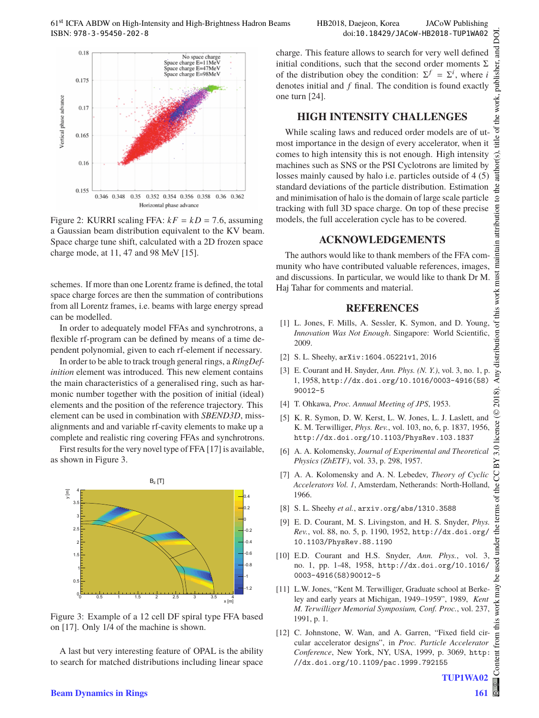

Figure 2: KURRI scaling FFA:  $kF = kD = 7.6$ , assuming a Gaussian beam distribution equivalent to the KV beam. Space charge tune shift, calculated with a 2D frozen space charge mode, at 11, 47 and 98 MeV [15].

schemes. If more than one Lorentz frame is defined, the total space charge forces are then the summation of contributions from all Lorentz frames, i.e. beams with large energy spread can be modelled.

In order to adequately model FFAs and synchrotrons, a flexible rf-program can be defined by means of a time dependent polynomial, given to each rf-element if necessary.

In order to be able to track trough general rings, a *RingDefinition* element was introduced. This new element contains the main characteristics of a generalised ring, such as harmonic number together with the position of initial (ideal) elements and the position of the reference trajectory. This element can be used in combination with *SBEND3D*, missalignments and and variable rf-cavity elements to make up a complete and realistic ring covering FFAs and synchrotrons.

First results for the very novel type of FFA [17] is available, as shown in Figure 3.



Figure 3: Example of a 12 cell DF spiral type FFA based on [17]. Only 1/4 of the machine is shown.

A last but very interesting feature of OPAL is the ability to search for matched distributions including linear space

charge. This feature allows to search for very well defined initial conditions, such that the second order moments  $\Sigma$ of the distribution obey the condition:  $\Sigma^f = \Sigma^i$ , where *i* denotes initial and *f* final. The condition is found exactly one turn [24].

While scaling laws and reduced order models are of utmost importance in the design of every accelerator, when it comes to high intensity this is not enough. High intensity machines such as SNS or the PSI Cyclotrons are limited by losses mainly caused by halo i.e. particles outside of 4 (5) standard deviations of the particle distribution. Estimation and minimisation of halo is the domain of large scale particle tracking with full 3D space charge. On top of these precise models, the full acceleration cycle has to be covered.

### **ACKNOWLEDGEMENTS**

The authors would like to thank members of the FFA community who have contributed valuable references, images, and discussions. In particular, we would like to thank Dr M. Haj Tahar for comments and material.

### **REFERENCES**

- **REFERENCES** [1] L. Jones, F. Mills, A. Sessler, K. Symon, and D. Young, *Innovation Was Not Enough*. Singapore: World Scientific, 2009.
- [2] S. L. Sheehy, arXiv:1604.05221v1, 2016
- [3] E. Courant and H. Snyder, *Ann. Phys. (N. Y.)*, vol. 3, no. 1, p. 1, 1958, http://dx.doi.org/10.1016/0003-4916(58) 90012-5
- [4] T. Ohkawa, *Proc. Annual Meeting of JPS*, 1953.
- [5] K. R. Symon, D. W. Kerst, L. W. Jones, L. J. Laslett, and K. M. Terwilliger, *Phys. Rev.*, vol. 103, no, 6, p. 1837, 1956, http://dx.doi.org/10.1103/PhysRev.103.1837
- [6] A. A. Kolomensky, *Journal of Experimental and Theoretical Physics (ZhETF)*, vol. 33, p. 298, 1957.
- [7] A. A. Kolomensky and A. N. Lebedev, *Theory of Cyclic Accelerators Vol. 1*, Amsterdam, Netherands: North-Holland, 1966.
- [8] S. L. Sheehy *et al.*, arxiv.org/abs/1310.3588
- [9] E. D. Courant, M. S. Livingston, and H. S. Snyder, *Phys. Rev.*, vol. 88, no. 5, p. 1190, 1952, http://dx.doi.org/ 10.1103/PhysRev.88.1190
- [10] E.D. Courant and H.S. Snyder, *Ann. Phys.*, vol. 3, no. 1, pp. 1-48, 1958, http://dx.doi.org/10.1016/ 0003-4916(58)90012-5
- [11] L.W. Jones, "Kent M. Terwilliger, Graduate school at Berkeley and early years at Michigan, 1949–1959", 1989, *Kent M. Terwilliger Memorial Symposium, Conf. Proc.*, vol. 237, 1991, p. 1.
- [12] C. Johnstone, W. Wan, and A. Garren, "Fixed field circular accelerator designs", in *Proc. Particle Accelerator Conference*, New York, NY, USA, 1999, p. 3069, http: //dx.doi.org/10.1109/pac.1999.792155

**161**